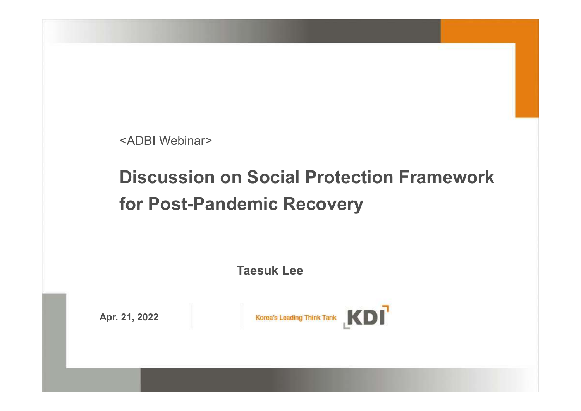<ADBI Webinar>

# Discussion on Social Protection Framework for Post-Pandemic Recovery **Social Protection Framework<br>emic Recovery<br>Taesuk Lee<br>Listen Monday Monday Monday Monday Monday Monday Monday Monday Monday Monday Monday Monday Monday Monday Monda**

Apr. 21, 2022 Korea's Leading Think Tank KDI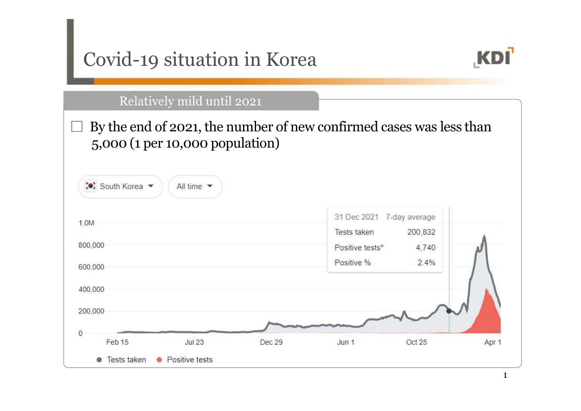| Covid-19 situation in Korea                      |                                                                     |  |
|--------------------------------------------------|---------------------------------------------------------------------|--|
| Relatively mild until 2021                       |                                                                     |  |
|                                                  | By the end of 2021, the number of new confirmed cases was less than |  |
| 5,000 (1 per 10,000 population)                  |                                                                     |  |
|                                                  |                                                                     |  |
| ∴ South Korea<br>All time $\blacktriangledown$   |                                                                     |  |
|                                                  |                                                                     |  |
|                                                  | 31 Dec 2021<br>7-day average                                        |  |
|                                                  | Tests taken<br>200,832                                              |  |
|                                                  | Positive tests*<br>4,740<br>2.4%<br>Positive %                      |  |
|                                                  |                                                                     |  |
|                                                  |                                                                     |  |
| 1.0M<br>800,000<br>600,000<br>400,000<br>200,000 |                                                                     |  |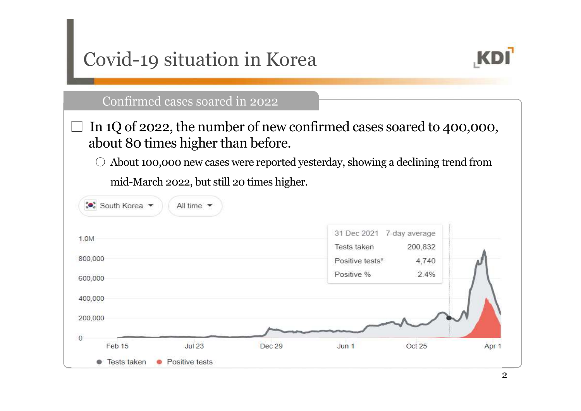| Covid-19 situation in Korea                                                                   |        |                               |               |       |
|-----------------------------------------------------------------------------------------------|--------|-------------------------------|---------------|-------|
| Confirmed cases soared in 2022                                                                |        |                               |               |       |
| In 1Q of 2022, the number of new confirmed cases soared to 400,000,                           |        |                               |               |       |
| about 80 times higher than before.                                                            |        |                               |               |       |
| About 100,000 new cases were reported yesterday, showing a declining trend from<br>$\bigcirc$ |        |                               |               |       |
| mid-March 2022, but still 20 times higher.                                                    |        |                               |               |       |
| ** South Korea<br>All time $\blacktriangledown$                                               |        |                               |               |       |
| 1.0M                                                                                          |        | 31 Dec 2021 7-day average     |               |       |
| 800,000                                                                                       |        | Tests taken                   | 200,832       |       |
|                                                                                               |        | Positive tests*<br>Positive % | 4,740<br>2.4% |       |
| 600,000                                                                                       |        |                               |               |       |
| 400,000                                                                                       |        |                               |               |       |
| 200,000                                                                                       |        |                               |               |       |
| 0                                                                                             |        |                               |               |       |
| <b>Jul 23</b><br>Feb 15                                                                       | Dec 29 | Jun <sub>1</sub>              | Oct 25        | Apr 1 |
|                                                                                               |        |                               |               |       |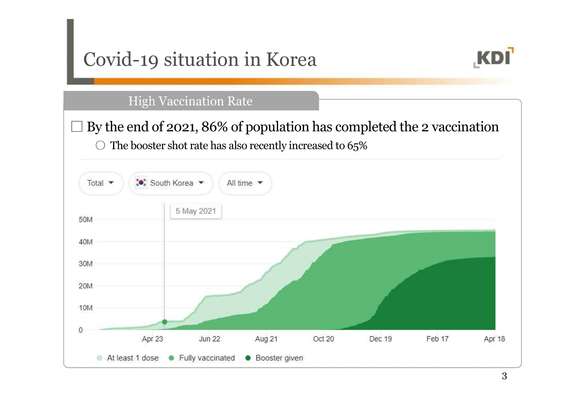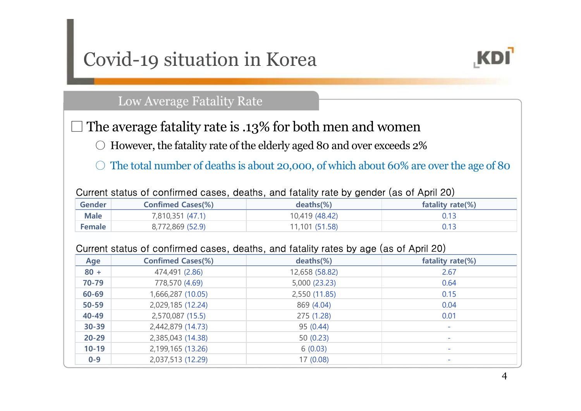# Covid-19 situation in Korea



|  | Current status of confirmed cases, deaths, and fatality rate by gender (as of April 20) |  |
|--|-----------------------------------------------------------------------------------------|--|
|  |                                                                                         |  |

|             | Covid-19 situation in Korea |                                                                                         | <b>KDI</b>       |
|-------------|-----------------------------|-----------------------------------------------------------------------------------------|------------------|
|             | Low Average Fatality Rate   |                                                                                         |                  |
|             |                             | The average fatality rate is .13% for both men and women                                |                  |
|             |                             | However, the fatality rate of the elderly aged 80 and over exceeds 2%                   |                  |
|             |                             | The total number of deaths is about 20,000, of which about 60% are over the age of 80   |                  |
|             |                             | Current status of confirmed cases, deaths, and fatality rate by gender (as of April 20) |                  |
| Gender      | <b>Confimed Cases(%)</b>    | $deaths$ $%$                                                                            | fatality rate(%) |
| <b>Male</b> | 7,810,351 (47.1)            | 10,419 (48.42)                                                                          | 0.13             |
| Female      | 8,772,869 (52.9)            | 11,101 (51.58)                                                                          | 0.13             |
|             |                             | Current status of confirmed cases, deaths, and fatality rates by age (as of April 20)   |                  |
| Age         | <b>Confimed Cases(%)</b>    | deaths(%)                                                                               | fatality rate(%) |
|             |                             |                                                                                         |                  |

### Current status of confirmed cases, deaths, and fatality rates by age (as of April 20)

|               |                          | $\Box$ The average fatality rate is .13% for both men and women<br>However, the fatality rate of the elderly aged 80 and over exceeds 2%<br>The total number of deaths is about 20,000, of which about 60% are over the age of 80 |                  |
|---------------|--------------------------|-----------------------------------------------------------------------------------------------------------------------------------------------------------------------------------------------------------------------------------|------------------|
|               |                          | Current status of confirmed cases, deaths, and fatality rate by gender (as of April 20)                                                                                                                                           |                  |
| <b>Gender</b> | <b>Confimed Cases(%)</b> | deaths(%)                                                                                                                                                                                                                         | fatality rate(%) |
| <b>Male</b>   | 7,810,351 (47.1)         | 10,419 (48.42)                                                                                                                                                                                                                    | 0.13             |
| <b>Female</b> | 8,772,869 (52.9)         | 11,101 (51.58)                                                                                                                                                                                                                    | 0.13             |
| Age           | <b>Confimed Cases(%)</b> | Current status of confirmed cases, deaths, and fatality rates by age (as of April 20)<br>deaths(%)                                                                                                                                | fatality rate(%) |
| $80 +$        | 474,491 (2.86)           | 12,658 (58.82)                                                                                                                                                                                                                    | 2.67             |
| 70-79         | 778,570 (4.69)           | 5,000 (23.23)                                                                                                                                                                                                                     | 0.64             |
|               |                          | 2,550 (11.85)                                                                                                                                                                                                                     | 0.15             |
| 60-69         | 1,666,287 (10.05)        |                                                                                                                                                                                                                                   |                  |
| 50-59         | 2,029,185 (12.24)        | 869 (4.04)                                                                                                                                                                                                                        | 0.04             |
| 40-49         | 2,570,087 (15.5)         | 275 (1.28)                                                                                                                                                                                                                        | 0.01             |
| $30 - 39$     | 2,442,879 (14.73)        | 95 (0.44)                                                                                                                                                                                                                         |                  |
| $20 - 29$     | 2,385,043 (14.38)        | 50(0.23)                                                                                                                                                                                                                          |                  |
| $10 - 19$     | 2,199,165 (13.26)        | 6(0.03)                                                                                                                                                                                                                           |                  |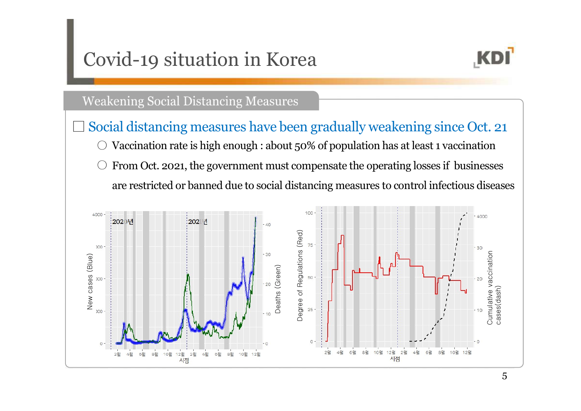# Covid-19 situation in Korea



### **Weakening Social Distancing Measures**

Social distancing measures have been gradually weakening since Oct. 21 Vaccination rate is high enough : about 50% of population has at least 1 vaccination  $\circ$  From Oct. 2021, the government must compensate the operating losses if businesses are restricted or banned due to social distancing measures to control infectious diseases

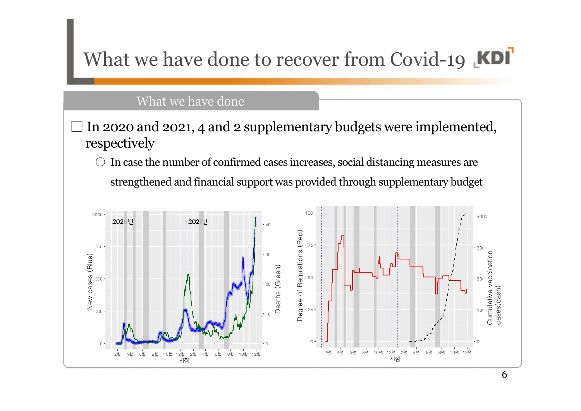# What we have done to recover from Covid-19 **KDI**

### What we have done

### In 2020 and 2021, 4 and 2 supplementary budgets were implemented, respectively

○ In case the number of confirmed cases increases, social distancing measures are strengthened and financial support was provided through supplementary budget

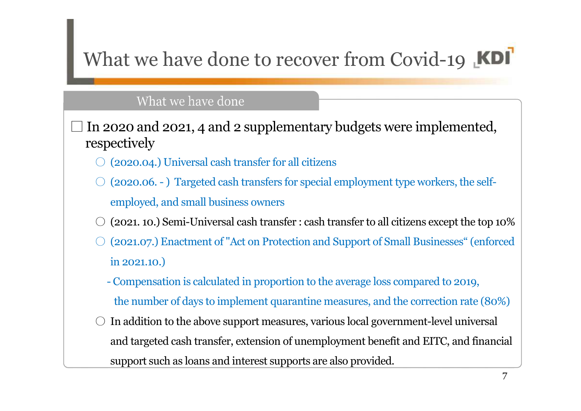# What we have done to recover from Covid-19 KDI

In 2020 and 2021, 4 and 2 supplementary budgets were implemented, respectively  $(2020.04.)$  Universal cash transfer for all citizens What we have done to recover from Covid-19 **KI**<br>
What we have done<br> **EXECUTE:**<br>
Notat we have done<br> **EXECUTE:**<br>  $\bigcirc$  (2020.04.) Universal cash transfer for all citizens<br>  $\bigcirc$  (2020.06. - ) Targeted cash transfers for sp employed, and small business owners 2020 and 2021, 4 and 2 supplementary budgets were implemented,<br>
2020 and 2021, 4 and 2 supplementary budgets were implemented,<br>
2020.04.) Universal cash transfers for special employment type workers, the self-<br>
employed,

- $(2021, 10.)$  Semi-Universal cash transfer : cash transfer to all citizens except the top  $10\%$
- (2021.07.) Enactment of "Act on Protection and Support of Small Businesses" (enforced in 2021.10.)
	- the number of days to implement quarantine measures, and the correction rate (80%)
- In addition to the above support measures, various local government-level universal and targeted cash transfer, extension of unemployment benefit and EITC, and financial support such as loans and interest supports are also provided.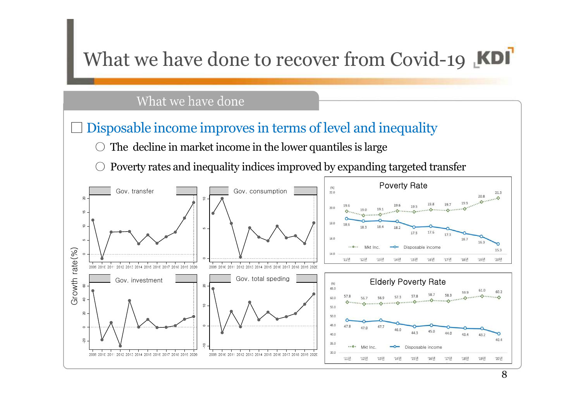

8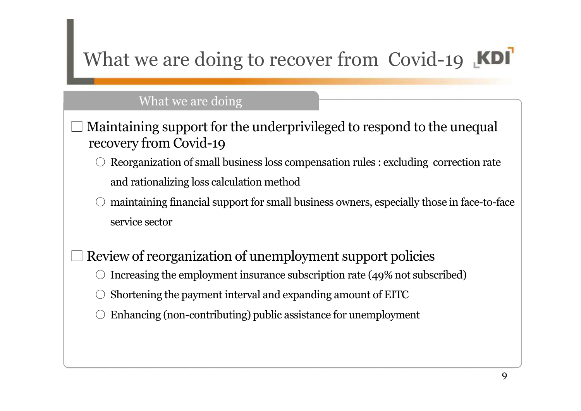# What we are doing to recover from Covid-19 KDI

### What we are doing

- Maintaining support for the underprivileged to respond to the unequal recovery from Covid-19  $\circ$  Reorganization of small business loss compensation rules : excluding correction rate and rationalizing loss calculation method maintaining financial support for small business owners, especially those in face-to-face service sector Review of reorganization of unemployment support policies Increasing the employment insurance subscription rate (49% not subscribed) Shortening the payment interval and expanding amount of EITC
	- Enhancing (non-contributing) public assistance for unemployment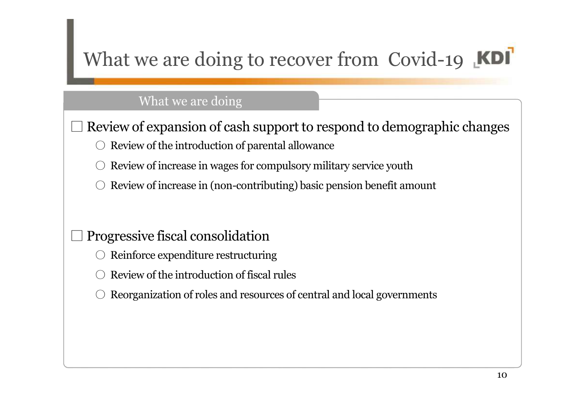# What we are doing to recover from Covid-19 **KDI**

### What we are doing

Review of expansion of cash support to respond to demographic changes

Review of the introduction of parental allowance

Review of increase in wages for compulsory military service youth

Review of increase in (non-contributing) basic pension benefit amount

## □ Progressive fiscal consolidation

- Reinforce expenditure restructuring
- Review of the introduction of fiscal rules
- Reorganization of roles and resources of central and local governments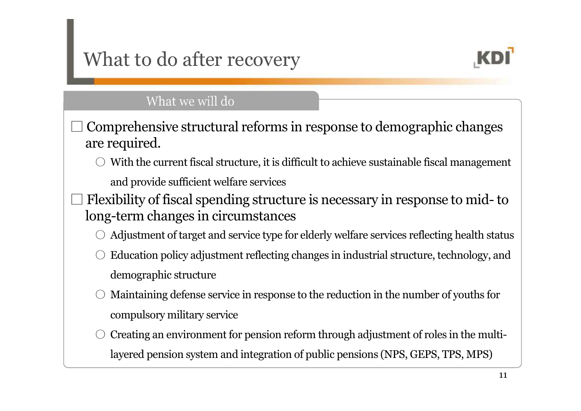# What to do after recovery



- Comprehensive structural reforms in response to demographic changes are required.
	- $\bigcirc$  With the current fiscal structure, it is difficult to achieve sustainable fiscal management and provide sufficient welfare services
- **EXDI**<br>
From Fig. 2.1 For Fig. 2.1 For Fig. 2.1 Comprehensive structural reforms in response to demographic changes<br>
are required.<br>  $\odot$  With the current fiscal structure, it is difficult to achieve sustainable fiscal m long-term changes in circumstances
	- Adjustment of target and service type for elderly welfare services reflecting health status
	- Education policy adjustment reflecting changes in industrial structure, technology, and demographic structure
	- Maintaining defense service in response to the reduction in the number of youths for compulsory military service
	- Creating an environment for pension reform through adjustment of roles in the multilayered pension system and integration of public pensions (NPS, GEPS, TPS, MPS)